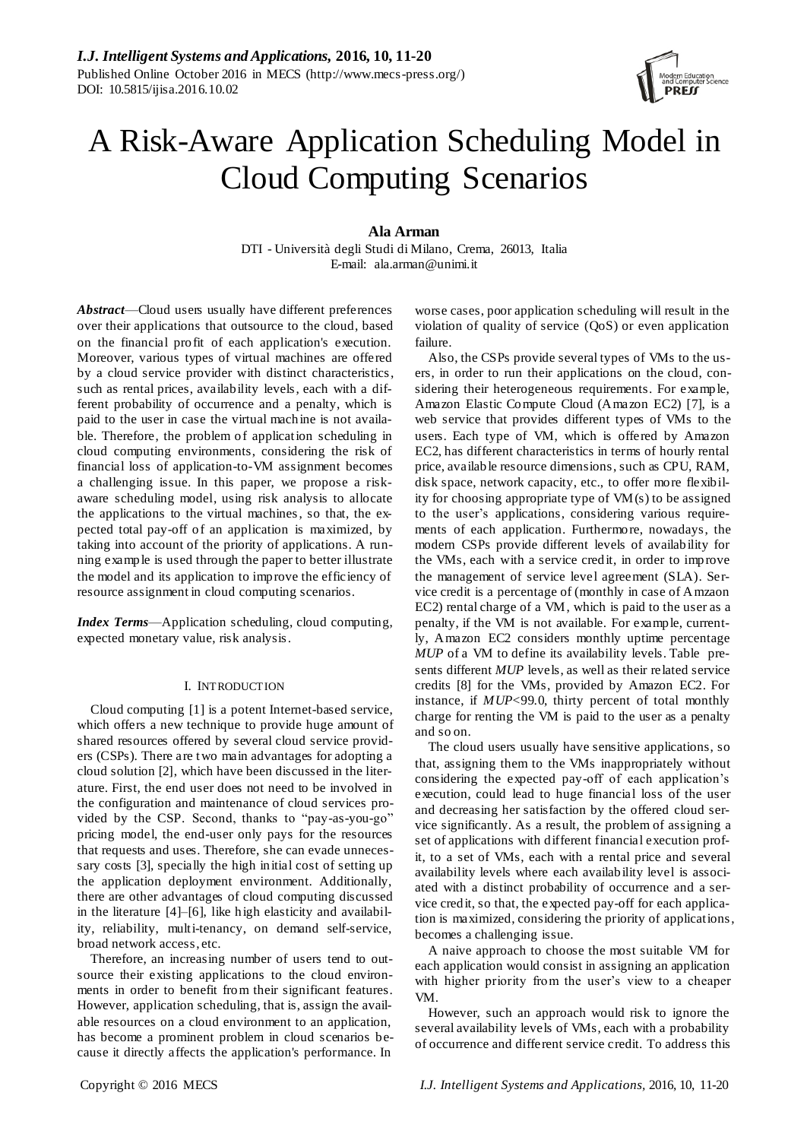# A Risk-Aware Application Scheduling Model in Cloud Computing Scenarios

# **Ala Arman**

DTI - Università degli Studi di Milano, Crema, 26013, Italia E-mail: ala.arman@unimi.it

*Abstract*—Cloud users usually have different preferences over their applications that outsource to the cloud, based on the financial profit of each application's execution. Moreover, various types of virtual machines are offered by a cloud service provider with distinct characteristics, such as rental prices, availability levels, each with a different probability of occurrence and a penalty, which is paid to the user in case the virtual machine is not available. Therefore, the problem of application scheduling in cloud computing environments, considering the risk of financial loss of application-to-VM assignment becomes a challenging issue. In this paper, we propose a riskaware scheduling model, using risk analysis to allocate the applications to the virtual machines, so that, the expected total pay-off of an application is maximized, by taking into account of the priority of applications. A running example is used through the paper to better illustrate the model and its application to improve the efficiency of resource assignment in cloud computing scenarios.

*Index Terms*—Application scheduling, cloud computing, expected monetary value, risk analysis.

## <span id="page-0-0"></span>I. INTRODUCTION

Cloud computing [1] is a potent Internet-based service, which offers a new technique to provide huge amount of shared resources offered by several cloud service providers (CSPs). There are two main advantages for adopting a cloud solution [2], which have been discussed in the literature. First, the end user does not need to be involved in the configuration and maintenance of cloud services provided by the CSP. Second, thanks to "pay-as-you-go" pricing model, the end-user only pays for the resources that requests and uses. Therefore, she can evade unnecessary costs [3], specially the high initial cost of setting up the application deployment environment. Additionally, there are other advantages of cloud computing discussed in the literature [4]–[6], like high elasticity and availability, reliability, multi-tenancy, on demand self-service, broad network access, etc.

Therefore, an increasing number of users tend to outsource their existing applications to the cloud environments in order to benefit from their significant features. However, application scheduling, that is, assign the available resources on a cloud environment to an application, has become a prominent problem in cloud scenarios because it directly affects the application's performance. In

worse cases, poor application scheduling will result in the violation of quality of service (QoS) or even application failure.

Also, the CSPs provide several types of VMs to the users, in order to run their applications on the cloud, considering their heterogeneous requirements. For example, Amazon Elastic Compute Cloud (Amazon EC2) [7], is a web service that provides different types of VMs to the users. Each type of VM, which is offered by Amazon EC2, has different characteristics in terms of hourly rental price, available resource dimensions, such as CPU, RAM, disk space, network capacity, etc., to offer more flexibility for choosing appropriate type of VM(s) to be assigned to the user's applications, considering various requirements of each application. Furthermore, nowadays, the modern CSPs provide different levels of availability for the VMs, each with a service credit, in order to improve the management of service level agreement (SLA). Service credit is a percentage of (monthly in case of Amzaon EC2) rental charge of a VM, which is paid to the user as a penalty, if the VM is not available. For example, currently, Amazon EC2 considers monthly uptime percentage *MUP* of a VM to define its availability levels. [Table](#page-1-0) presents different *MUP* levels, as well as their related service credits [8] for the VMs, provided by Amazon EC2. For instance, if *MUP*<99.0, thirty percent of total monthly charge for renting the VM is paid to the user as a penalty and so on.

The cloud users usually have sensitive applications, so that, assigning them to the VMs inappropriately without considering the expected pay-off of each application's execution, could lead to huge financial loss of the user and decreasing her satisfaction by the offered cloud service significantly. As a result, the problem of assigning a set of applications with different financial execution profit, to a set of VMs, each with a rental price and several availability levels where each availability level is associated with a distinct probability of occurrence and a service credit, so that, the expected pay-off for each application is maximized, considering the priority of applications, becomes a challenging issue.

A naive approach to choose the most suitable VM for each application would consist in assigning an application with higher priority from the user's view to a cheaper VM.

However, such an approach would risk to ignore the several availability levels of VMs, each with a probability of occurrence and different service credit. To address this

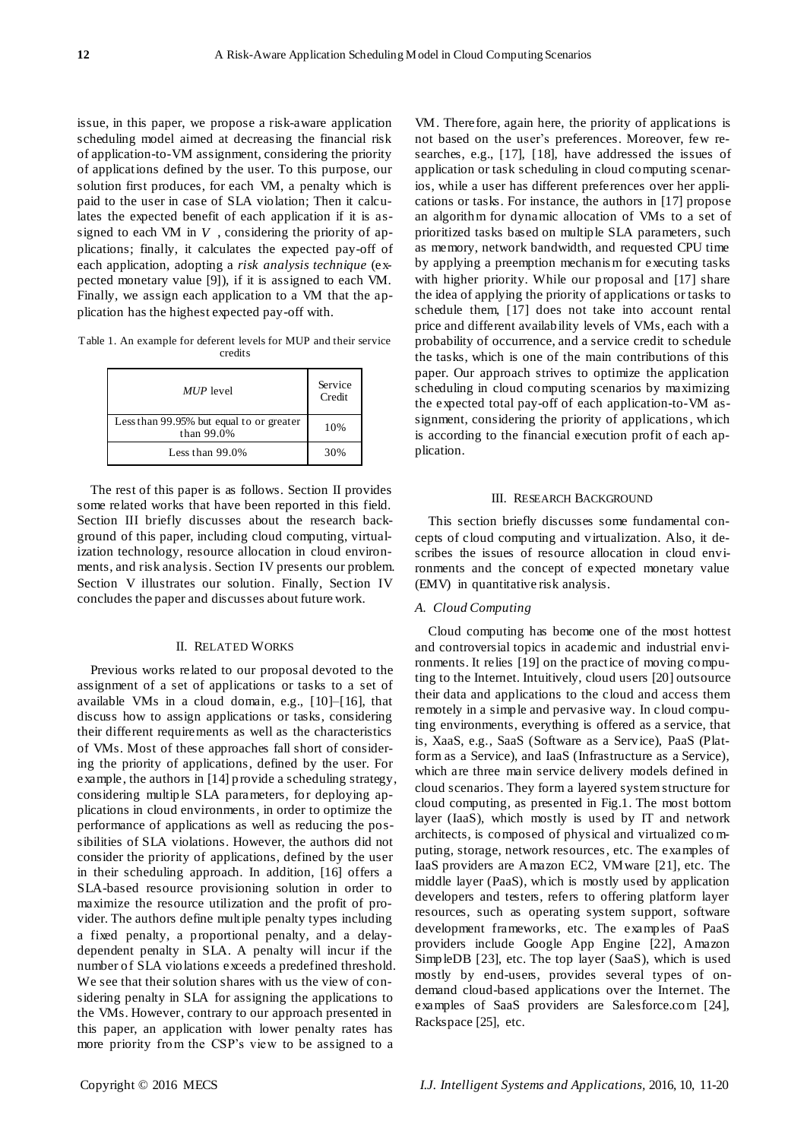issue, in this paper, we propose a risk-aware application scheduling model aimed at decreasing the financial risk of application-to-VM assignment, considering the priority of applications defined by the user. To this purpose, our solution first produces, for each VM, a penalty which is paid to the user in case of SLA violation; Then it calculates the expected benefit of each application if it is assigned to each VM in *V* , considering the priority of applications; finally, it calculates the expected pay-off of each application, adopting a *risk analysis technique* (expected monetary value [9]), if it is assigned to each VM. Finally, we assign each application to a VM that the application has the highest expected pay-off with.

<span id="page-1-0"></span>Table 1. An example for deferent levels for MUP and their service credits

| <i>MUP</i> level                                       | Service<br>Credit |
|--------------------------------------------------------|-------------------|
| Less than 99.95% but equal to or greater<br>than 99.0% | 10%               |
| Less than $99.0\%$                                     | 30%               |

The rest of this paper is as follows. Section II provides some related works that have been reported in this field. Section III briefly discusses about the research background of this paper, including cloud computing, virtualization technology, resource allocation in cloud environments, and risk analysis. Section IV presents our problem. Section V illustrates our solution. Finally, Section IV concludes the paper and discusses about future work.

## II. RELATED WORKS

Previous works related to our proposal devoted to the assignment of a set of applications or tasks to a set of available VMs in a cloud domain, e.g., [10]–[16], that discuss how to assign applications or tasks, considering their different requirements as well as the characteristics of VMs. Most of these approaches fall short of considering the priority of applications, defined by the user. For example, the authors in [14] provide a scheduling strategy, considering multiple SLA parameters, for deploying applications in cloud environments, in order to optimize the performance of applications as well as reducing the possibilities of SLA violations. However, the authors did not consider the priority of applications, defined by the user in their scheduling approach. In addition, [16] offers a SLA-based resource provisioning solution in order to maximize the resource utilization and the profit of provider. The authors define multiple penalty types including a fixed penalty, a proportional penalty, and a delaydependent penalty in SLA. A penalty will incur if the number of SLA violations exceeds a predefined threshold. We see that their solution shares with us the view of considering penalty in SLA for assigning the applications to the VMs. However, contrary to our approach presented in this paper, an application with lower penalty rates has more priority from the CSP's view to be assigned to a

VM. Therefore, again here, the priority of applications is not based on the user's preferences. Moreover, few researches, e.g., [17], [18], have addressed the issues of application or task scheduling in cloud computing scenarios, while a user has different preferences over her applications or tasks. For instance, the authors in [17] propose an algorithm for dynamic allocation of VMs to a set of prioritized tasks based on multiple SLA parameters, such as memory, network bandwidth, and requested CPU time by applying a preemption mechanis m for executing tasks with higher priority. While our proposal and [17] share the idea of applying the priority of applications or tasks to schedule them, [17] does not take into account rental price and different availability levels of VMs, each with a probability of occurrence, and a service credit to schedule the tasks, which is one of the main contributions of this paper. Our approach strives to optimize the application scheduling in cloud computing scenarios by maximizing the expected total pay-off of each application-to-VM assignment, considering the priority of applications, which is according to the financial execution profit of each application.

### III. RESEARCH BACKGROUND

This section briefly discusses some fundamental concepts of cloud computing and virtualization. Also, it describes the issues of resource allocation in cloud environments and the concept of expected monetary value (EMV) in quantitative risk analysis.

# *A. Cloud Computing*

Cloud computing has become one of the most hottest and controversial topics in academic and industrial environments. It relies [19] on the practice of moving computing to the Internet. Intuitively, cloud users [20] outsource their data and applications to the cloud and access them remotely in a simple and pervasive way. In cloud computing environments, everything is offered as a service, that is, XaaS, e.g., SaaS (Software as a Service), PaaS (Platform as a Service), and IaaS (Infrastructure as a Service), which are three main service delivery models defined in cloud scenarios. They form a layered system structure for cloud computing, as presented in Fig.1. The most bottom layer (IaaS), which mostly is used by IT and network architects, is composed of physical and virtualized co mputing, storage, network resources, etc. The examples of IaaS providers are Amazon EC2, VMware [21], etc. The middle layer (PaaS), which is mostly used by application developers and testers, refers to offering platform layer resources, such as operating system support, software development frameworks, etc. The examples of PaaS providers include Google App Engine [22], Amazon SimpleDB [23], etc. The top layer (SaaS), which is used mostly by end-users, provides several types of ondemand cloud-based applications over the Internet. The examples of SaaS providers are Salesforce.com [24], Rackspace [25], etc.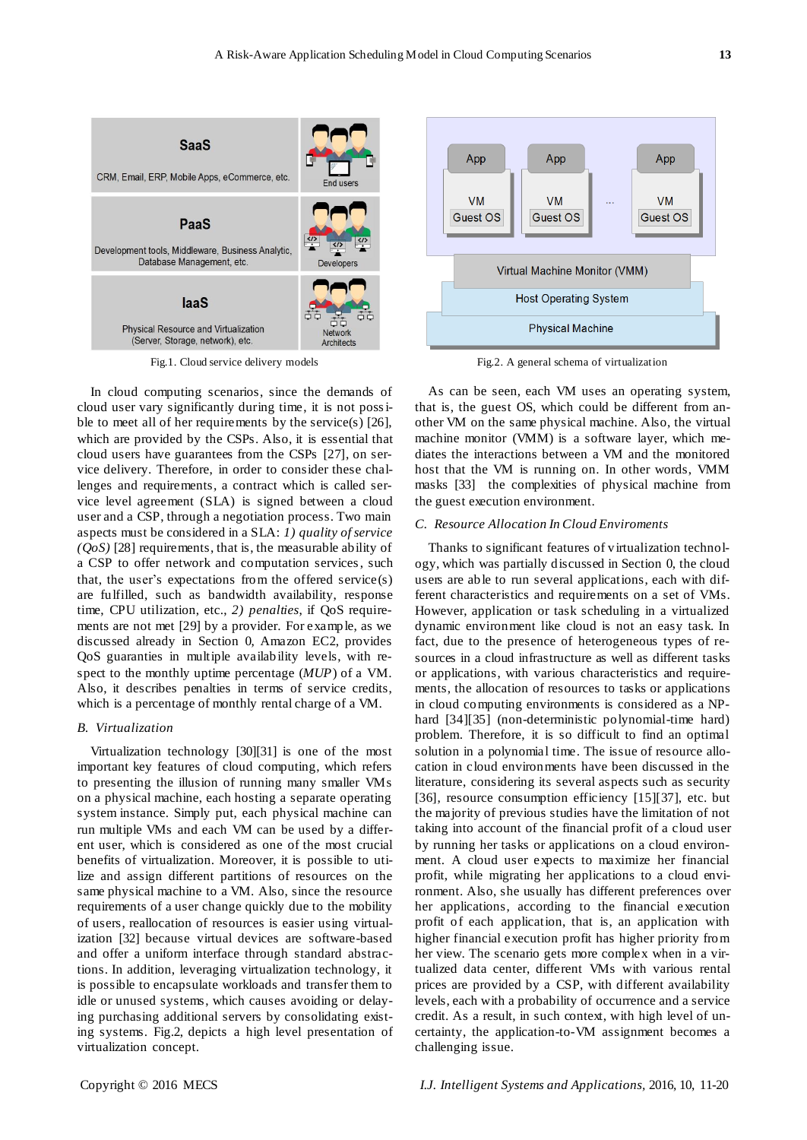

Fig.1. Cloud service delivery models

In cloud computing scenarios, since the demands of cloud user vary significantly during time, it is not possible to meet all of her requirements by the service(s) [26], which are provided by the CSPs. Also, it is essential that cloud users have guarantees from the CSPs [27], on service delivery. Therefore, in order to consider these challenges and requirements, a contract which is called service level agreement (SLA) is signed between a cloud user and a CSP, through a negotiation process. Two main aspects must be considered in a SLA: *1) quality of service (QoS)* [28] requirements, that is, the measurable ability of a CSP to offer network and computation services, such that, the user's expectations from the offered service(s) are fulfilled, such as bandwidth availability, response time, CPU utilization, etc., *2) penalties*, if QoS requirements are not met [29] by a provider. For example, as we discussed already in Section [0,](#page-0-0) Amazon EC2, provides QoS guaranties in multiple availability levels, with respect to the monthly uptime percentage (*MUP*) of a VM. Also, it describes penalties in terms of service credits, which is a percentage of monthly rental charge of a VM.

#### <span id="page-2-0"></span>*B. Virtualization*

Virtualization technology [30][31] is one of the most important key features of cloud computing, which refers to presenting the illusion of running many smaller VMs on a physical machine, each hosting a separate operating system instance. Simply put, each physical machine can run multiple VMs and each VM can be used by a different user, which is considered as one of the most crucial benefits of virtualization. Moreover, it is possible to utilize and assign different partitions of resources on the same physical machine to a VM. Also, since the resource requirements of a user change quickly due to the mobility of users, reallocation of resources is easier using virtualization [32] because virtual devices are software-based and offer a uniform interface through standard abstractions. In addition, leveraging virtualization technology, it is possible to encapsulate workloads and transfer them to idle or unused systems, which causes avoiding or delaying purchasing additional servers by consolidating existing systems. Fig.2, depicts a high level presentation of virtualization concept.



Fig.2. A general schema of virtualization

As can be seen, each VM uses an operating system, that is, the guest OS, which could be different from another VM on the same physical machine. Also, the virtual machine monitor (VMM) is a software layer, which mediates the interactions between a VM and the monitored host that the VM is running on. In other words, VMM masks [33] the complexities of physical machine from the guest execution environment.

# *C. Resource Allocation In Cloud Enviroments*

Thanks to significant features of virtualization technology, which was partially discussed in Section [0,](#page-2-0) the cloud users are able to run several applications, each with different characteristics and requirements on a set of VMs. However, application or task scheduling in a virtualized dynamic environment like cloud is not an easy task. In fact, due to the presence of heterogeneous types of resources in a cloud infrastructure as well as different tasks or applications, with various characteristics and requirements, the allocation of resources to tasks or applications in cloud computing environments is considered as a NPhard [34][35] (non-deterministic polynomial-time hard) problem. Therefore, it is so difficult to find an optimal solution in a polynomial time. The issue of resource allocation in cloud environments have been discussed in the literature, considering its several aspects such as security [36], resource consumption efficiency [15][37], etc. but the majority of previous studies have the limitation of not taking into account of the financial profit of a cloud user by running her tasks or applications on a cloud environment. A cloud user expects to maximize her financial profit, while migrating her applications to a cloud environment. Also, she usually has different preferences over her applications, according to the financial execution profit of each application, that is, an application with higher financial execution profit has higher priority from her view. The scenario gets more complex when in a virtualized data center, different VMs with various rental prices are provided by a CSP, with different availability levels, each with a probability of occurrence and a service credit. As a result, in such context, with high level of uncertainty, the application-to-VM assignment becomes a challenging issue.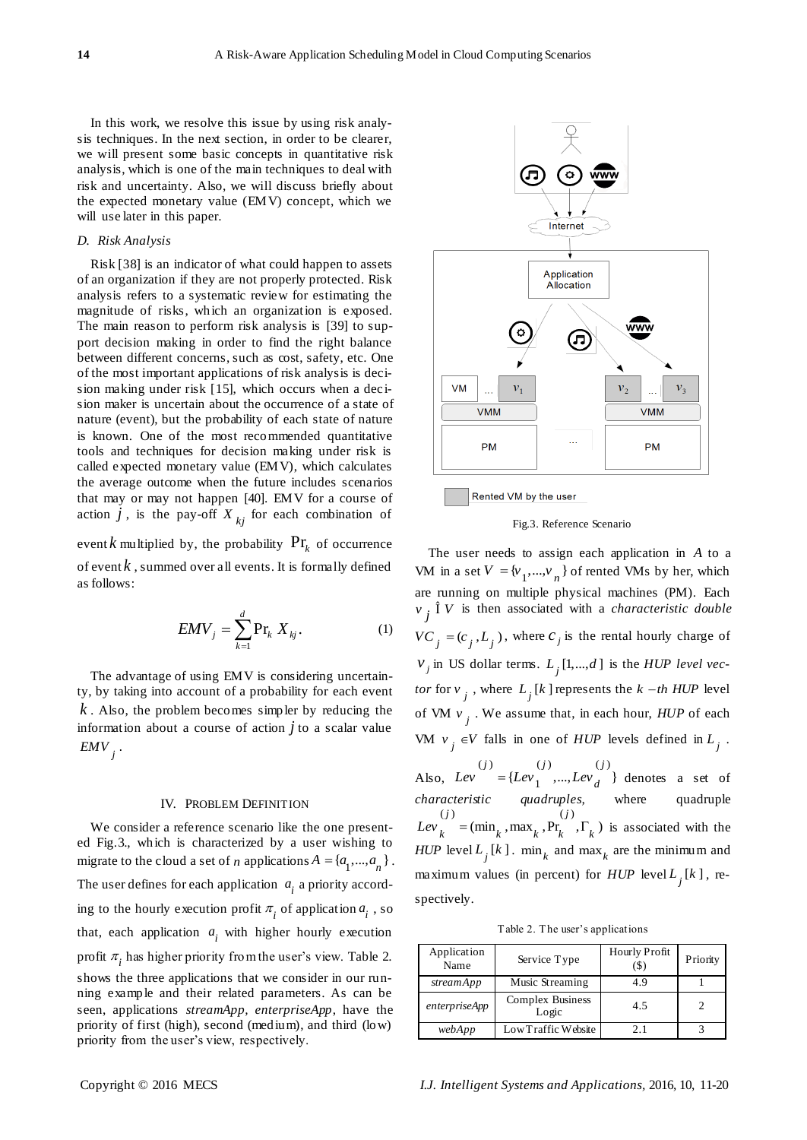In this work, we resolve this issue by using risk analysis techniques. In the next section, in order to be clearer, we will present some basic concepts in quantitative risk analysis, which is one of the main techniques to deal with risk and uncertainty. Also, we will discuss briefly about the expected monetary value (EMV) concept, which we will use later in this paper.

# *D. Risk Analysis*

Risk [38] is an indicator of what could happen to assets of an organization if they are not properly protected. Risk analysis refers to a systematic review for estimating the magnitude of risks, which an organization is exposed. The main reason to perform risk analysis is [39] to support decision making in order to find the right balance between different concerns, such as cost, safety, etc. One of the most important applications of risk analysis is decision making under risk [15], which occurs when a dec ision maker is uncertain about the occurrence of a state of nature (event), but the probability of each state of nature is known. One of the most recommended quantitative tools and techniques for decision making under risk is called expected monetary value (EMV), which calculates the average outcome when the future includes scenarios that may or may not happen [40]. EMV for a course of action  $j$ , is the pay-off  $X_{kj}$  for each combination of

event  $k$  multiplied by, the probability  $Pr_k$  of occurrence of event *k* , summed over all events. It is formally defined as follows:

$$
EMV_j = \sum_{k=1}^{d} \Pr_k X_{kj}.
$$
 (1)

The advantage of using EMV is considering uncertainty, by taking into account of a probability for each event *k* . Also, the problem becomes simpler by reducing the information about a course of action *j* to a scalar value  $\mathit{EMV}_j$  .

#### <span id="page-3-0"></span>IV. PROBLEM DEFINITION

We consider a reference scenario like the one presented Fig.3., which is characterized by a user wishing to migrate to the cloud a set of *n* applications  $A = \{a_1, ..., a_n\}$ . The user defines for each application  $a_i$  a priority according to the hourly execution profit  $\pi$ <sub>*i*</sub> of application  $a$ <sub>*i*</sub>, so that, each application  $a_i$  with higher hourly execution profit  $\pi$ <sub>i</sub> has higher priority from the user's view. Table 2. shows the three applications that we consider in our running example and their related parameters. As can be seen, applications *streamApp, enterpriseApp*, have the priority of first (high), second (medium), and third (low) priority from the user's view, respectively.



Rented VM by the user

#### Fig.3. Reference Scenario

The user needs to assign each application in *A* to a VM in a set  $V = {v_1, ..., v_n}$  of rented VMs by her, which are running on multiple physical machines (PM). Each  $v_j$ <sup> $\text{I}$ </sup> $V$  is then associated with a *characteristic double*  $VC_j = (c_j, L_j)$ , where  $c_j$  is the rental hourly charge of  $v_j$  in US dollar terms.  $L_j$  [1,...,d] is the *HUP level vector* for  $v_j$ , where  $L_j[k]$  represents the  $k - th$  *HUP* level of VM  $v_j$ . We assume that, in each hour,  $HUP$  of each VM  $v_j \in V$  falls in one of *HUP* levels defined in  $L_j$ .

Also, (*j*)  $(j)$  (*j*)  $(j)$  $j' = \{Lev_1^{(j)}, ... , Lev_d^{(j)}\}$  $Lev$  = { $Lev_1$ ,...,  $Lev_d$ } denotes a set of *characteristic quadruples,* where quadruple (*i*)<br>  $Lev_k = (\min_k, \max_k, Pr_k, \Gamma_k)$  is associated with the *HUP* level  $L_j[k]$ . min<sub>k</sub> and max<sub>k</sub> are the minimum and maximum values (in percent) for  $HUP$  level  $L_j[k]$ , respectively.

Table 2. The user's applications

| Application<br>Name | Service Type                     | <b>Hourly Profit</b> | Priority |
|---------------------|----------------------------------|----------------------|----------|
| streamApp           | Music Streaming                  | 4.9                  |          |
| enterpriseApp       | <b>Complex Business</b><br>Logic | 4.5                  |          |
| webApp              | Low Traffic Website              | 21                   |          |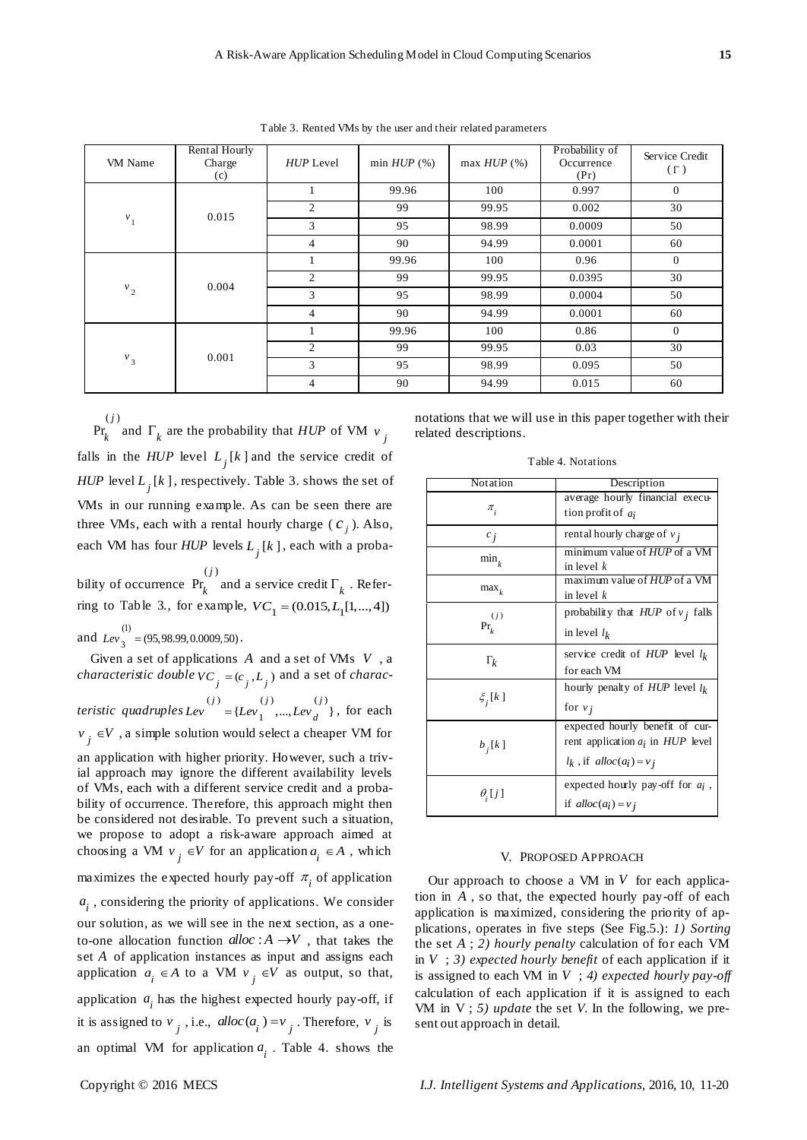Table 3. Rented VMs by the user and their related parameters

| VM Name | Rental Hourly<br>Charge<br>(c) | HUP Level      | min $HUP(%)$ | max $HUP(%)$ | Probability of<br>Occurrence<br>(Pr) | Service Credit<br>$(\Gamma)$ |
|---------|--------------------------------|----------------|--------------|--------------|--------------------------------------|------------------------------|
|         | 0.015                          |                | 99.96        | 100          | 0.997                                | $\mathbf{0}$                 |
|         |                                | 2              | 99           | 99.95        | 0.002                                | 30                           |
| $v_1$   |                                | 3              | 95           | 98.99        | 0.0009                               | 50                           |
|         |                                | 4              | 90           | 94.99        | 0.0001                               | 60                           |
| $v_2$   | 0.004                          |                | 99.96        | 100          | 0.96                                 | $\overline{0}$               |
|         |                                | $\overline{c}$ | 99           | 99.95        | 0.0395                               | 30                           |
|         |                                | 3              | 95           | 98.99        | 0.0004                               | 50                           |
|         |                                | 4              | 90           | 94.99        | 0.0001                               | 60                           |
| $v_3$   | 0.001                          | 1              | 99.96        | 100          | 0.86                                 | $\overline{0}$               |
|         |                                | 2              | 99           | 99.95        | 0.03                                 | 30                           |
|         |                                | 3              | 95           | 98.99        | 0.095                                | 50                           |
|         |                                | 4              | 90           | 94.99        | 0.015                                | 60                           |

related descriptions.

 $(j)$ Pr *j*  $\int_{k}$  and  $\Gamma_k$  are the probability that *HUP* of VM  $v_j$ falls in the *HUP* level  $L_j[k]$  and the service credit of *HUP* level  $L_j[k]$ , respectively. Table 3. shows the set of VMs in our running example. As can be seen there are three VMs, each with a rental hourly charge  $(c_j)$ . Also, each VM has four *HUP* levels  $L_j[k]$ , each with a proba-

bility of occurrence  $(j)$ Pr *j*  $\mathbf{r}_k$  and a service credit  $\Gamma_k$ . Referring to Table 3., for example,  $VC_1 = (0.015, L_1[1,..., 4])$ and  $\frac{1}{\text{Lev}_2}$  $Lev_3^{\prime\prime} = (95,98.99,0.0009,50)$ .

Given a set of applications *A* and a set of VMs *V* , a *characteristic double*  $VC_{j} = (c_{j}, L_{j})$  and a set of *charac* $t$ eristic quadruples  $Lev = \{Lev_1, ..., Lev_n\}$  $j' = \{Lev_1^{(j)}, ... , Lev_d^{(j)}\}$  $Lev$   $(t) = {Lev_1^{(j)},...,Lev_d^{(j)}}$ , for each  $v_j \in V$ , a simple solution would select a cheaper VM for an application with higher priority. However, such a trivial approach may ignore the different availability levels of VMs, each with a different service credit and a probability of occurrence. Therefore, this approach might then be considered not desirable. To prevent such a situation, we propose to adopt a risk-aware approach aimed at choosing a VM  $v_j \in V$  for an application  $a_i \in A$ , which maximizes the expected hourly pay-off  $\pi$ <sub>i</sub> of application *i a* , considering the priority of applications. We consider our solution, as we will see in the next section, as a oneto-one allocation function  $alloc: A \rightarrow V$ , that takes the set *A* of application instances as input and assigns each application  $a_i \in A$  to a VM  $v_j \in V$  as output, so that, application  $a_i$  has the highest expected hourly pay-off, if it is assigned to  $v_j$ , i.e.,  $alloc(a_i) = v_j$ . Therefore,  $v_j$  is an optimal VM for application  $a_i$ . Table 4. shows the

| Notation               | Description                                             |  |  |
|------------------------|---------------------------------------------------------|--|--|
| $\pi$ <sub>i</sub>     | average hourly financial execu-<br>tion profit of $a_i$ |  |  |
| $c_i$                  | rental hourly charge of $v_i$                           |  |  |
| $\min_k$               | minimum value of HUP of a VM<br>in level $k$            |  |  |
| $\max_k$               | maximum value of <i>HUP</i> of a VM<br>in level $k$     |  |  |
| (j)                    | probability that $HUP$ of $v_i$ falls                   |  |  |
| $Pr_{i}$               | in level $l_k$                                          |  |  |
| $\Gamma_k$             | service credit of $HUP$ level $l_k$<br>for each VM      |  |  |
|                        | hourly penalty of $HUP$ level $l_k$                     |  |  |
| $\xi$ <sub>i</sub> [k] | for $v_i$                                               |  |  |
|                        | expected hourly benefit of cur-                         |  |  |
| $b_i[k]$               | rent application $a_i$ in $HUP$ level                   |  |  |
|                        | $l_k$ , if alloc( $a_i$ ) = $v_j$                       |  |  |
|                        | expected hourly pay-off for $a_i$ ,                     |  |  |
| $\theta$ ,[j]          | if $alloc(a_i) = v_j$                                   |  |  |

### V. PROPOSED APPROACH

Our approach to choose a VM in  $V$  for each application in *A* , so that, the expected hourly pay-off of each application is maximized, considering the priority of applications, operates in five steps (See Fig.5.): *1) Sorting* the set *A* ; *2) hourly penalty* calculation of for each VM in  $V$ ; 3) *expected hourly benefit* of each application if it is assigned to each VM in *V* ; *4) expected hourly pay-off*  calculation of each application if it is assigned to each VM in V ; *5) update* the set *V.* In the following, we present out approach in detail.

Table 4. Notations

notations that we will use in this paper together with their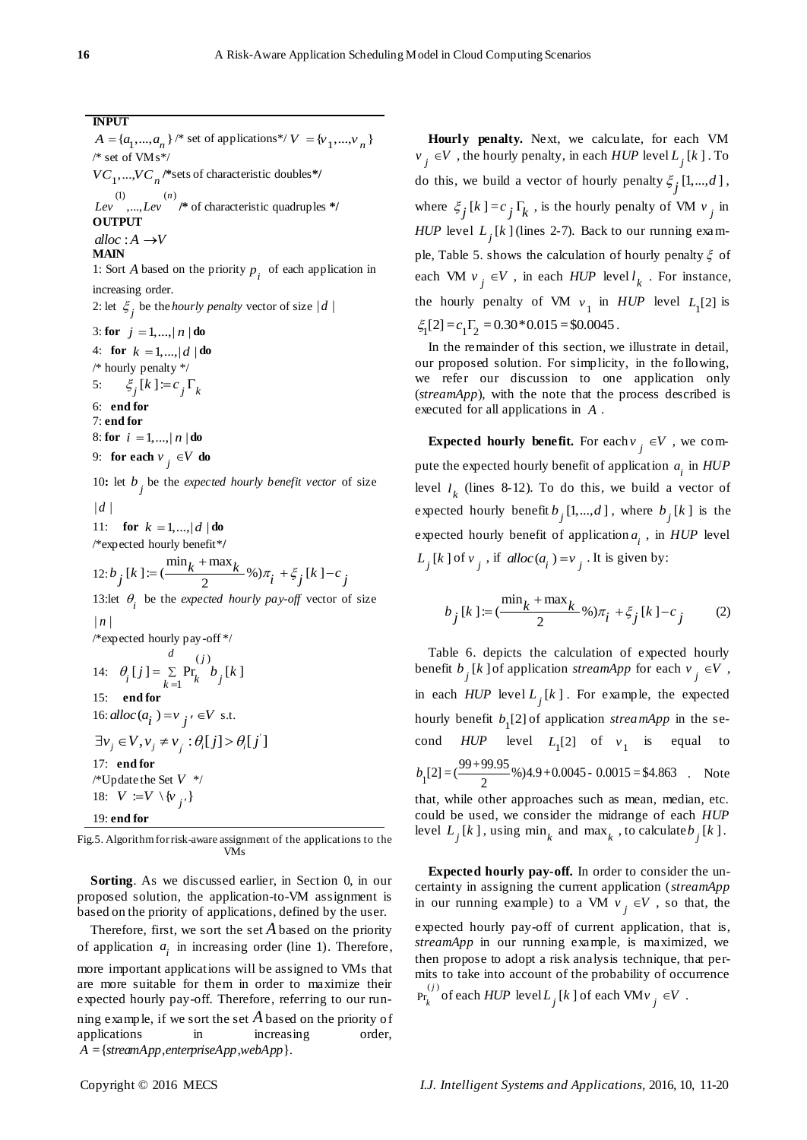# **INPUT**

 $A = \{a_1, ..., a_n\}^{*}$  set of applications\*/ $V = \{v_1, ..., v_n\}$ /\* set of VMs\*/  $VC_1$ ,..., $VC_n$  /\*sets of characteristic doubles\*/ (1) (*n*)<br>*Lev* ,..., *Lev* /\* of characteristic quadruples \*/ **OUTPUT**  $alloc: A \rightarrow V$ **MAIN** 1: Sort *A* based on the priority  $p_i$  of each application in

increasing order. 2: let  $\zeta_j$  be the *hourly penalty* vector of size  $|d|$ 

3: **for**  $j = 1, ..., |n|$ **do** 4: **for**  $k = 1, ..., |d|$  **do** /\* hourly penalty \*/ 5:  $\xi_i[k] := c_i \Gamma_k$ 6: **end for** 7: **end for**

8: **for**  $i = 1, ..., |n|$ **do** 

9: **for each**  $v_j \in V$  **do** 

10: let  $b_j$  be the *expected hourly benefit vector* of size  $|d|$ 

11: **for**  $k = 1,..., |d|$  **do** 

/\*expected hourly benefit\*/  
\n12: 
$$
b_j [k] := (\frac{\min_k + \max_k}{2} \%) \pi_i + \xi_j [k] - c_j
$$
  
\n13:let  $\theta_i$  be the expected hourly pay-off vector of size  
\n $|n|$   
\n/\*expected hourly pay-off\*/  
\n $d$   
\n14:  $\theta_i [j] = \sum_{k=1}^{\infty} \Pr_k b_j [k]$   
\n15: end for  
\n16: *alloc* ( $a_i$ ) =  $v_j$   $\in V$  s.t.  
\n $\exists v_j \in V, v_j \neq v_j : \theta_i [j] > \theta_i [j]$   
\n17: end for  
\n/\*Update the Set  $V$  \*

Fig.5. Algorithmfor risk-aware assignment of the applications to the VMs

**Sorting**. As we discussed earlier, in Section [0,](#page-3-0) in our proposed solution, the application-to-VM assignment is based on the priority of applications, defined by the user.

Therefore, first, we sort the set *A* based on the priority of application  $a_i$  in increasing order (line 1). Therefore, more important applications will be assigned to VMs that are more suitable for them in order to maximize their expected hourly pay-off. Therefore, referring to our running example, if we sort the set *A* based on the priority of applications in increasing order,  $A = {streamApp, enterpriseApp,webApp}.$ 

**Hourly penalty.** Next, we calculate, for each VM  $v_j \in V$ , the hourly penalty, in each  $HUP$  level  $L_j[k]$ . To do this, we build a vector of hourly penalty  $\xi_j$  [1,...,*d*], where  $\xi_j[k] = c_j \Gamma_k$ , is the hourly penalty of VM  $v_j$  in *HUP* level  $L_j[k]$  (lines 2-7). Back to our running example, Table 5. shows the calculation of hourly penalty  $\xi$  of each VM  $v_j \in V$ , in each *HUP* level  $l_k$ . For instance, the hourly penalty of VM  $v_1$  in *HUP* level  $L_1[2]$  is  $\xi_1[2] = c_1\Gamma_2 = 0.30*0.015 = $0.0045$ .

In the remainder of this section, we illustrate in detail, our proposed solution. For simplicity, in the following, we refer our discussion to one application only (*streamApp*), with the note that the process described is executed for all applications in *A* .

**Expected hourly benefit.** For each  $v_j \in V$ , we compute the expected hourly benefit of application  $a_i$  in  $HUP$ level  $l_k$  (lines 8-12). To do this, we build a vector of expected hourly benefit  $b_j$  [1,..., *d*], where  $b_j$  [k] is the expected hourly benefit of application  $a_i$ , in *HUP* level  $L_j[k]$  of  $v_j$ , if alloc( $a_i$ ) =  $v_j$ . It is given by:

$$
b_j[k] := (\frac{\min_k + \max_k}{2} \%)\pi_i + \xi_j[k] - c_j
$$
 (2)

Table 6. depicts the calculation of expected hourly benefit  $b_j$  [k] of application *streamApp* for each  $v_j \in V$ , in each  $HUP$  level  $L_j[k]$ . For example, the expected hourly benefit  $b<sub>1</sub>[2]$  of application *streamApp* in the second  $HUP$  level  $L_1[2]$  of  $v_1$  is equal to cond *HUP* level  $L_1[2]$  of  $v_1$  is e<br>  $b_1[2] = (\frac{99+99.95}{2}\%)4.9+0.0045 - 0.0015 = $4.863$  $=(\frac{99+99.95}{2}\%)(4.9+0.0045-0.0015)=\$4.863$  Note that, while other approaches such as mean, median, etc.

could be used, we consider the midrange of each *HUP* level  $L_j[k]$ , using  $\min_k$  and  $\max_k$ , to calculate  $b_j[k]$ .

**Expected hourly pay-off.** In order to consider the uncertainty in assigning the current application (*streamApp* in our running example) to a VM  $v_j \in V$ , so that, the expected hourly pay-off of current application, that is, *streamApp* in our running example, is maximized, we then propose to adopt a risk analysis technique, that permits to take into account of the probability of occurrence  $\Pr_{l_i}^{(j)}$  $\int_k^{\infty}$  of each *HUP* level  $L_j[k]$  of each VM $v_j \in V$ .

18:  $V := V \setminus \{v_{j'}\}$ 

19: **end for**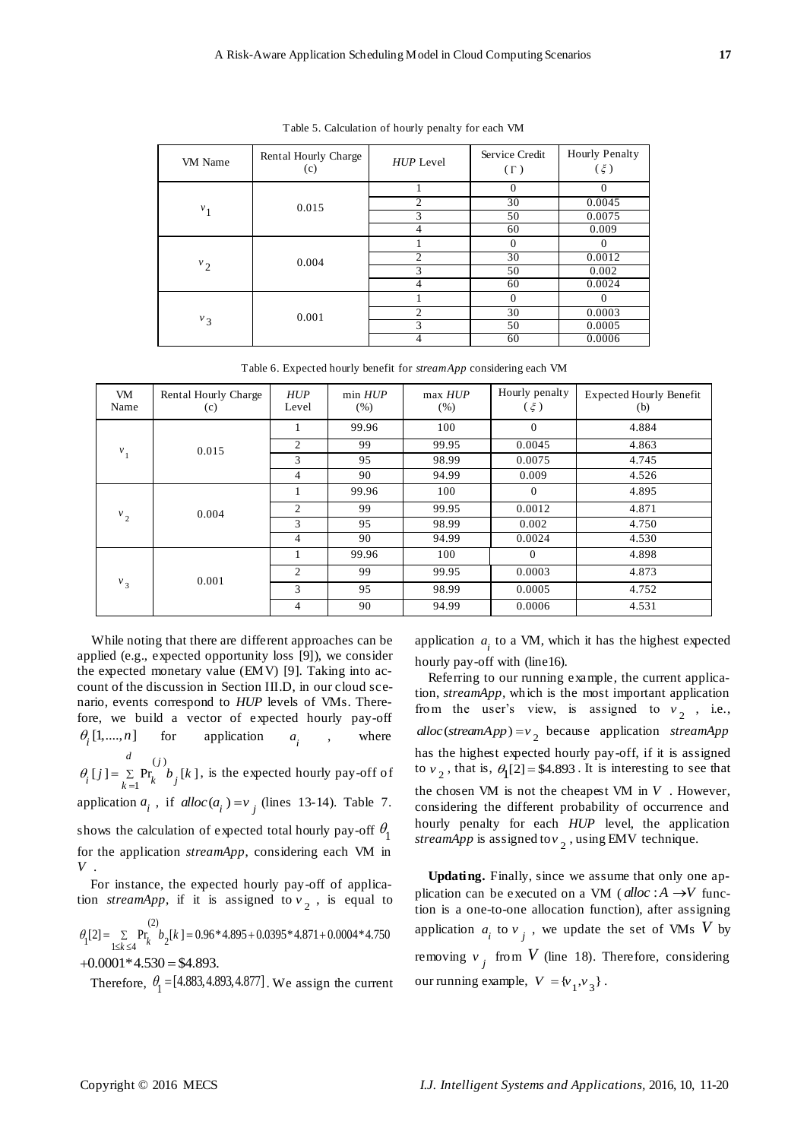| VM Name | Rental Hourly Charge<br>(c) | HUP Level      | Service Credit<br>$(\Gamma)$ | Hourly Penalty<br>$(\xi)$ |
|---------|-----------------------------|----------------|------------------------------|---------------------------|
|         | 0.015                       |                | $\Omega$                     | $\Omega$                  |
|         |                             | $\overline{c}$ | 30                           | 0.0045                    |
| $v_1$   |                             | 3              | 50                           | 0.0075                    |
|         |                             | 4              | 60                           | 0.009                     |
|         | 0.004                       |                | $\Omega$                     | 0                         |
|         |                             | $\overline{c}$ | 30                           | 0.0012                    |
| $v_{2}$ |                             | 3              | 50                           | 0.002                     |
|         |                             | 4              | 60                           | 0.0024                    |
| $v_3$   | 0.001                       |                | $\Omega$                     | $\Omega$                  |
|         |                             | $\overline{2}$ | 30                           | 0.0003                    |
|         |                             | 3              | 50                           | 0.0005                    |
|         |                             |                | 60                           | 0.0006                    |

Table 5. Calculation of hourly penalty for each VM

Table 6. Expected hourly benefit for *streamApp* considering each VM

| VM<br>Name | Rental Hourly Charge<br>(c) | HUP<br>Level   | min HUP<br>(% ) | max HUP<br>(% ) | Hourly penalty<br>$(\xi)$ | <b>Expected Hourly Benefit</b><br>(b)     |
|------------|-----------------------------|----------------|-----------------|-----------------|---------------------------|-------------------------------------------|
| $v_{1}$    | 0.015                       |                | 99.96           | 100             | $\Omega$                  | 4.884                                     |
|            |                             | 2              | 99              | 99.95           | 0.0045                    | 4.863                                     |
|            |                             | 3              | 95              | 98.99           | 0.0075                    | 4.745                                     |
|            |                             | $\overline{4}$ | 90              | 94.99           | 0.009                     | 4.526                                     |
| $v_{2}$    | 0.004                       |                | 99.96           | 100             | $\Omega$                  | 4.895                                     |
|            |                             | $\overline{c}$ | 99              | 99.95           | 0.0012                    | 4.871                                     |
|            |                             | 3              | 95              | 98.99           | 0.002                     | 4.750                                     |
|            |                             | 4              | 90              | 94.99           | 0.0024                    | 4.530<br>4.898<br>4.873<br>4.752<br>4.531 |
| $v_{3}$    |                             |                | 99.96           | 100             | $\Omega$                  |                                           |
|            | 0.001                       | 2              | 99              | 99.95           | 0.0003                    |                                           |
|            |                             | 3              | 95              | 98.99           | 0.0005                    |                                           |
|            |                             | 4              | 90              | 94.99           | 0.0006                    |                                           |

While noting that there are different approaches can be applied (e.g., expected opportunity loss [9]), we consider the expected monetary value (EMV) [9]. Taking into account of the discussion in Section III.D, in our cloud scenario, events correspond to *HUP* levels of VMs. Therefore, we build a vector of expected hourly pay-off  $\theta_{i}$  [1,....,*n*] for application *i a* where  $(j)$  $[j] = \sum_{k=1}^{N} Pr_k^{(j)} b_j[k]$ *d j*  $\theta_i$  [*j* ] =  $\sum_{k=1} P_{k}^{(j)} b_j$  [*k*  $= \sum Pr_i b_i[k]$ , is the expected hourly pay-off of

application  $a_i$ , if  $alloc(a_i) = v_j$  (lines 13-14). Table 7. shows the calculation of expected total hourly pay-off  $\theta_1$ for the application *streamApp*, considering each VM in *V* .

For instance, the expected hourly pay-off of application *streamApp*, if it is assigned to  $v_2$ , is equal to

 $h = \frac{1}{2k}$  Pr  $h = 0.96 * 4.895 + 0.0395 * 4.871 + 0.0004 * 4.750$ <br> $h = \frac{1}{2k}$  Pr  $h = 0.96 * 4.895 + 0.0395 * 4.871 + 0.0004 * 4.750$ 

 $+0.0001*4.530 = $4.893.$ 

Therefore,  $\theta_1 = [4.883, 4.893, 4.877]$ . We assign the current

application  $a_i$  to a VM, which it has the highest expected hourly pay-off with (line16).

Referring to our running example, the current application, *streamApp,* which is the most important application from the user's view, is assigned to  $v_2$ , i.e.,  $alloc (streamApp) = v_2$  because application *streamApp* has the highest expected hourly pay-off, if it is assigned to  $v_2$ , that is,  $\theta_1[2] = $4.893$ . It is interesting to see that the chosen VM is not the cheapest VM in  $V$ . However, considering the different probability of occurrence and hourly penalty for each *HUP* level, the application *streamApp* is assigned to  $v_2$ , using EMV technique.

**Updating.** Finally, since we assume that only one application can be executed on a VM ( $alloc: A \rightarrow V$  function is a one-to-one allocation function), after assigning application  $a_i$  to  $v_j$ , we update the set of VMs V by removing  $v_j$  from  $V$  (line 18). Therefore, considering our running example,  $V = \{v_1, v_3\}$ .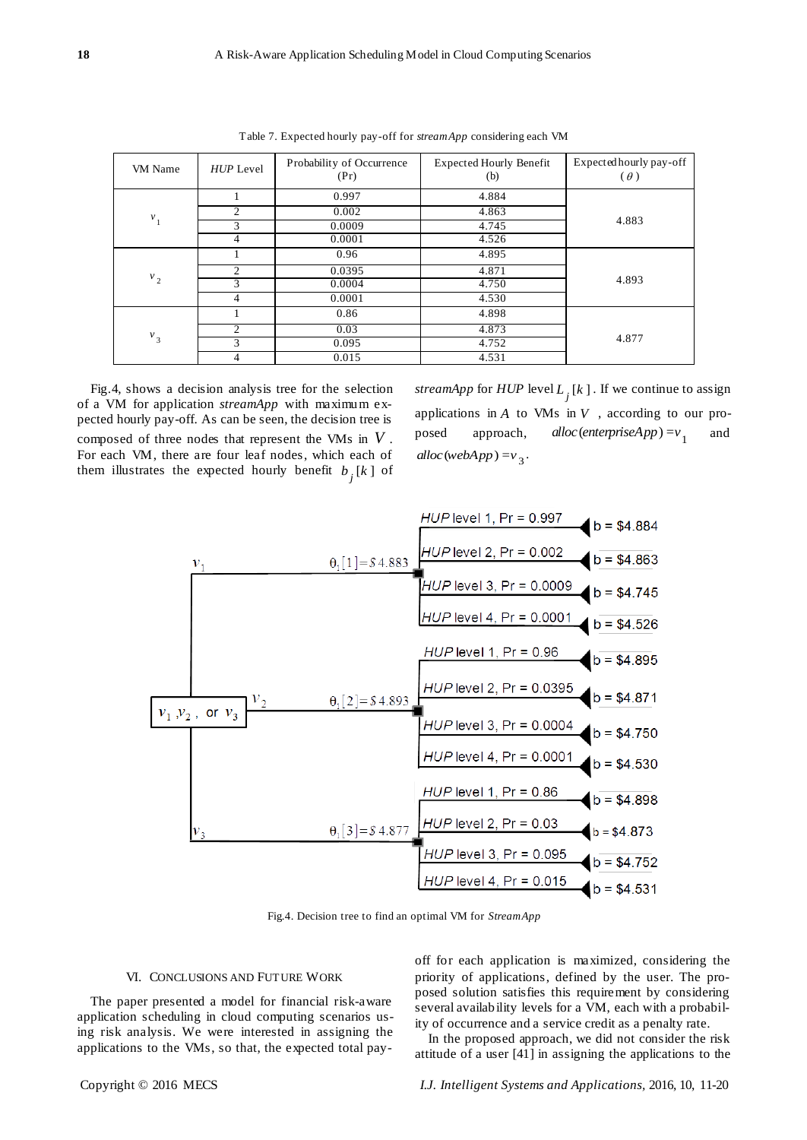| VM Name | $HUP$ Level                 | Probability of Occurrence | <b>Expected Hourly Benefit</b> | Expected hourly pay-off |
|---------|-----------------------------|---------------------------|--------------------------------|-------------------------|
|         |                             | (Pr)                      | (b)                            | $(\theta)$              |
|         |                             |                           |                                |                         |
|         |                             | 0.997                     | 4.884                          |                         |
| $v_1$   | 2                           | 0.002                     | 4.863                          |                         |
|         | 3                           | 0.0009                    | 4.745                          | 4.883                   |
|         | 4                           | 0.0001                    | 4.526                          |                         |
|         |                             | 0.96                      | 4.895                          |                         |
|         | 2                           | 0.0395                    | 4.871                          |                         |
| $v_{2}$ | 3                           | 0.0004                    | 4.750                          | 4.893                   |
|         | 4                           | 0.0001                    | 4.530                          |                         |
| $v_3$   |                             | 0.86                      | 4.898                          |                         |
|         | $\mathcal{D}_{\mathcal{L}}$ | 0.03                      | 4.873                          |                         |
|         | 3                           | 0.095                     | 4.752                          | 4.877                   |
|         | 4                           | 0.015                     | 4.531                          |                         |

Table 7. Expected hourly pay-off for *streamApp* considering each VM

Fig.4, shows a decision analysis tree for the selection of a VM for application *streamApp* with maximum expected hourly pay-off. As can be seen, the decision tree is composed of three nodes that represent the VMs in *V* . For each VM, there are four leaf nodes, which each of them illustrates the expected hourly benefit  $b_j[k]$  of

*streamApp* for  $HUP$  level  $L_j[k]$ . If we continue to assign applications in  $A$  to VMs in  $V$ , according to our proposed approach, alloc (enterpriseApp) =  $v_1$ and  $alloc (webApp) = v_3$ .



Fig.4. Decision tree to find an optimal VM for *StreamApp*

## VI. CONCLUSIONS AND FUTURE WORK

The paper presented a model for financial risk-aware application scheduling in cloud computing scenarios using risk analysis. We were interested in assigning the applications to the VMs, so that, the expected total payoff for each application is maximized, considering the priority of applications, defined by the user. The proposed solution satisfies this requirement by considering several availability levels for a VM, each with a probability of occurrence and a service credit as a penalty rate.

In the proposed approach, we did not consider the risk attitude of a user [41] in assigning the applications to the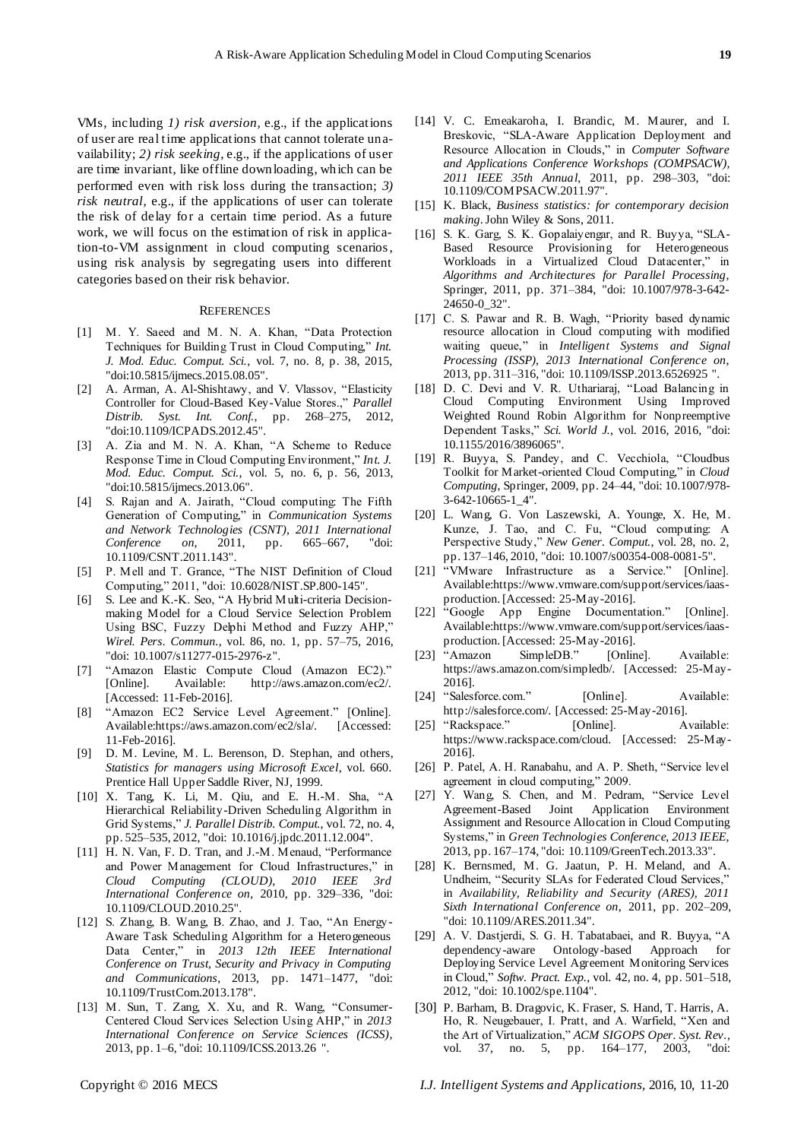VMs, including *1) risk aversion*, e.g., if the applications of user are real time applications that cannot tolerate unavailability; *2) risk seeking*, e.g., if the applications of user are time invariant, like offline downloading, which can be performed even with risk loss during the transaction; *3) risk neutral*, e.g., if the applications of user can tolerate the risk of delay for a certain time period. As a future work, we will focus on the estimation of risk in application-to-VM assignment in cloud computing scenarios, using risk analysis by segregating users into different categories based on their risk behavior.

#### **REFERENCES**

- [1] M. Y. Saeed and M. N. A. Khan, "Data Protection Techniques for Building Trust in Cloud Computing," *Int. J. Mod. Educ. Comput. Sci.*, vol. 7, no. 8, p. 38, 2015, "doi:10.5815/ijmecs.2015.08.05".
- [2] A. Arman, A. Al-Shishtawy, and V. Vlassov, "Elasticity Controller for Cloud-Based Key-Value Stores.," Parallel *Distrib. Syst. Int. Conf.*, pp. 268–275, 2012, "doi:10.1109/ICPADS.2012.45".
- [3] A. Zia and M. N. A. Khan, "A Scheme to Reduce Response Time in Cloud Computing Environment," *Int. J. Mod. Educ. Comput. Sci.*, vol. 5, no. 6, p. 56, 2013, "doi:10.5815/ijmecs.2013.06".
- [4] S. Rajan and A. Jairath, "Cloud computing: The Fifth Generation of Computing," in *Communication Systems and Network Technologies (CSNT), 2011 International Conference on*, 2011, pp. 665–667, "doi: 10.1109/CSNT.2011.143".
- [5] P. Mell and T. Grance, "The NIST Definition of Cloud Computing,‖ 2011, "doi: 10.6028/NIST.SP.800-145".
- [6] S. Lee and K.-K. Seo, "A Hybrid Multi-criteria Decisionmaking Model for a Cloud Service Selection Problem Using BSC, Fuzzy Delphi Method and Fuzzy AHP," *Wirel. Pers. Commun.*, vol. 86, no. 1, pp. 57–75, 2016, "doi: 10.1007/s11277-015-2976-z".
- [7] "Amazon Elastic Compute Cloud (Amazon EC2)." [Online]. Available: http://aws.amazon.com/ec2/. [Accessed: 11-Feb-2016].
- [8] "Amazon EC2 Service Level Agreement." [Online]. Available:https://aws.amazon.com/ec2/sla/. [Accessed: 11-Feb-2016].
- [9] D. M. Levine, M. L. Berenson, D. Stephan, and others, *Statistics for managers using Microsoft Excel*, vol. 660. Prentice Hall Upper Saddle River, NJ, 1999.
- [10] X. Tang, K. Li, M. Qiu, and E. H.-M. Sha, "A Hierarchical Reliability-Driven Scheduling Algorithm in Grid Systems," *J. Parallel Distrib. Comput.*, vol. 72, no. 4, pp. 525–535, 2012, "doi: 10.1016/j.jpdc.2011.12.004".
- [11] H. N. Van, F. D. Tran, and J.-M. Menaud, "Performance and Power Management for Cloud Infrastructures," in *Cloud Computing (CLOUD), 2010 IEEE 3rd International Conference on*, 2010, pp. 329–336, "doi: 10.1109/CLOUD.2010.25".
- [12] S. Zhang, B. Wang, B. Zhao, and J. Tao, "An Energy -Aware Task Scheduling Algorithm for a Heterogeneous Data Center," in 2013 12th IEEE International *Conference on Trust, Security and Privacy in Computing and Communications*, 2013, pp. 1471–1477, "doi: 10.1109/TrustCom.2013.178".
- [13] M. Sun, T. Zang, X. Xu, and R. Wang, "Consumer-Centered Cloud Services Selection Using AHP," in 2013 *International Conference on Service Sciences (ICSS)*, 2013, pp. 1–6, "doi: 10.1109/ICSS.2013.26 ".
- [14] V. C. Emeakaroha, I. Brandic, M. Maurer, and I. Breskovic, "SLA-Aware Application Deployment and Resource Allocation in Clouds," in *Computer Software and Applications Conference Workshops (COMPSACW), 2011 IEEE 35th Annual*, 2011, pp. 298–303, "doi: 10.1109/COMPSACW.2011.97".
- [15] K. Black, *Business statistics: for contemporary decision making*. John Wiley & Sons, 2011.
- [16] S. K. Garg, S. K. Gopalaiyengar, and R. Buyya, "SLA-Based Resource Provisioning for Heterogeneous Workloads in a Virtualized Cloud Datacenter," in *Algorithms and Architectures for Parallel Processing*, Springer, 2011, pp. 371–384, "doi: 10.1007/978-3-642- 24650-0\_32".
- [17] C. S. Pawar and R. B. Wagh, "Priority based dynamic resource allocation in Cloud computing with modified waiting queue," in *Intelligent* Systems and Signal *Processing (ISSP), 2013 International Conference on*, 2013, pp. 311–316, "doi: 10.1109/ISSP.2013.6526925 ".
- [18] D. C. Devi and V. R. Uthariaraj, "Load Balancing in Cloud Computing Environment Using Improved Weighted Round Robin Algorithm for Nonpreemptive Dependent Tasks," *Sci. World J.*, vol. 2016, 2016, "doi: 10.1155/2016/3896065".
- [19] R. Buyya, S. Pandey, and C. Vecchiola, "Cloudbus Toolkit for Market-oriented Cloud Computing," in *Cloud Computing*, Springer, 2009, pp. 24–44, "doi: 10.1007/978- 3-642-10665-1\_4".
- [20] L. Wang, G. Von Laszewski, A. Younge, X. He, M. Kunze, J. Tao, and C. Fu, "Cloud computing: A Perspective Study," *New Gener. Comput.*, vol. 28, no. 2, pp. 137–146, 2010, "doi: 10.1007/s00354-008-0081-5".
- [21] "VMware Infrastructure as a Service." [Online]. Available:https://www.vmware.com/support/services/iaasproduction. [Accessed: 25-May-2016].
- [22] "Google App Engine Documentation." [Online]. Available:https://www.vmware.com/support/services/iaasproduction. [Accessed: 25-May-2016].
- [23] "Amazon SimpleDB." [Online]. Available: https://aws.amazon.com/simpledb/. [Accessed: 25-May-2016].
- [24] "Salesforce.com." [Online]. Available: http://salesforce.com/. [Accessed: 25-May-2016].
- [25] "Rackspace." [Online]. Available: https://www.rackspace.com/cloud. [Accessed: 25-May-2016].
- [26] P. Patel, A. H. Ranabahu, and A. P. Sheth, "Service level agreement in cloud computing," 2009.
- [27] Y. Wang, S. Chen, and M. Pedram, "Service Level Agreement-Based Joint Application Environment Assignment and Resource Allocation in Cloud Computing Systems,‖ in *Green Technologies Conference, 2013 IEEE*, 2013, pp. 167–174, "doi: 10.1109/GreenTech.2013.33".
- [28] K. Bernsmed, M. G. Jaatun, P. H. Meland, and A. Undheim, "Security SLAs for Federated Cloud Services," in *Availability, Reliability and Security (ARES), 2011 Sixth International Conference on*, 2011, pp. 202–209, "doi: 10.1109/ARES.2011.34".
- [29] A. V. Dastjerdi, S. G. H. Tabatabaei, and R. Buyya, "A dependency-aware Ontology-based Approach for Deploying Service Level Agreement Monitoring Services in Cloud," Softw. Pract. Exp., vol. 42, no. 4, pp. 501-518, 2012, "doi: 10.1002/spe.1104".
- [30] P. Barham, B. Dragovic, K. Fraser, S. Hand, T. Harris, A. Ho, R. Neugebauer, I. Pratt, and A. Warfield, "Xen and the Art of Virtualization," ACM SIGOPS Oper. Syst. Rev., vol. 37, no. 5, pp. 164–177, 2003,